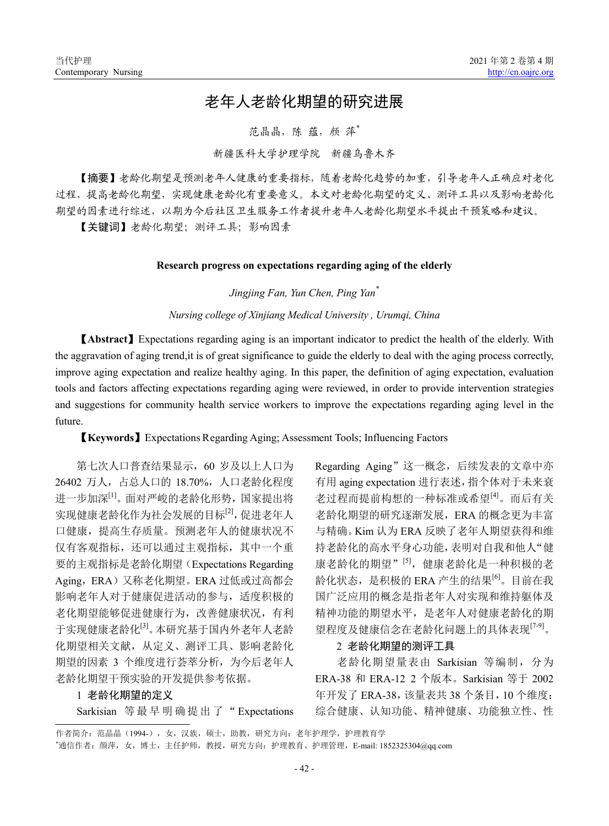# 老年人老龄化期望的研究进展

范晶晶, 陈 蕴, 颜 萍\*

## 新疆医科大学护理学院 新疆乌鲁木齐

【摘要】老龄化期望是预测老年人健康的重要指标,随着老龄化趋势的加重,引导老年人正确应对老化 过程,提高老龄化期望,实现健康老龄化有重要意义。本文对老龄化期望的定义、测评工具以及影响老龄化 期望的因素进行综述,以期为今后社区卫生服务工作者提升老年人老龄化期望水平提出干预策略和建议。

【关键词】老龄化期望;测评工具;影响因素

### **Research progress on expectations regarding aging of the elderly**

*Jingjing Fan, Yun Chen, Ping Yan\**

*Nursing college of Xinjiang Medical University , Urumqi, China*

【**Abstract**】Expectations regarding aging is an important indicator to predict the health of the elderly. With the aggravation of aging trend,it is of great significance to guide the elderly to deal with the aging process correctly, improve aging expectation and realize healthy aging. In this paper, the definition of aging expectation, evaluation tools and factors affecting expectations regarding aging were reviewed, in order to provide intervention strategies and suggestions for community health service workers to improve the expectations regarding aging level in the future.

【**Keywords**】Expectations Regarding Aging; Assessment Tools; Influencing Factors

第七次人口普查结果显示,60 岁及以上人口为 26402 万人,占总人口的 18.70%,人口老龄化程度 进一步加深[1]。面对严峻的老龄化形势,国家提出将 实现健康老龄化作为社会发展的目标[2],促进老年人 口健康,提高生存质量。预测老年人的健康状况不 仅有客观指标,还可以通过主观指标,其中一个重 要的主观指标是老龄化期望(Expectations Regarding Aging, ERA)又称老化期望。ERA 过低或过高都会 影响老年人对于健康促进活动的参与,适度积极的 老化期望能够促进健康行为,改善健康状况,有利 于实现健康老龄化[3]。本研究基于国内外老年人老龄 化期望相关文献,从定义、测评工具、影响老龄化 期望的因素 3 个维度进行荟萃分析,为今后老年人 老龄化期望干预实验的开发提供参考依据。

#### 1 老龄化期望的定义

Sarkisian 等最早明确提出了" Expectations

Regarding Aging"这一概念,后续发表的文章中亦 有用 aging expectation 进行表述,指个体对于未来衰 老过程而提前构想的一种标准或希望[4]。而后有关 老龄化期望的研究逐渐发展,ERA 的概念更为丰富 与精确。Kim 认为 ERA 反映了老年人期望获得和维 持老龄化的高水平身心功能,表明对自我和他人"健 康老龄化的期望"[5],健康老龄化是一种积极的老 龄化状态,是积极的 ERA 产生的结果<sup>[6]</sup>。目前在我 国广泛应用的概念是指老年人对实现和维持躯体及 精神功能的期望水平,是老年人对健康老龄化的期 望程度及健康信念在老龄化问题上的具体表现[7-9]。

#### 2 老龄化期望的测评工具

老龄化期望量表由 Sarkisian 等编制,分为 ERA-38 和 ERA-12 2 个版本。Sarkisian 等于 2002 年开发了 ERA-38,该量表共 38 个条目,10 个维度: 综合健康、认知功能、精神健康、功能独立性、性

作者简介:范晶晶(1994-),女,汉族,硕士,助教,研究方向:老年护理学,护理教育学 \* 通信作者:颜萍,女,博士,主任护师,教授,研究方向:护理教育、护理管理,E-mail: 1852325304@qq.com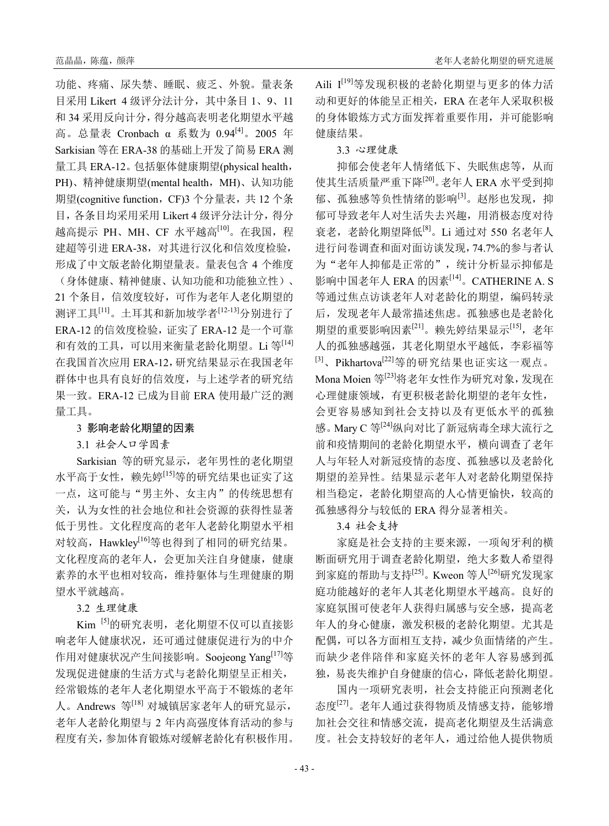功能、疼痛、尿失禁、睡眠、疲乏、外貌。量表条 目采用 Likert 4 级评分法计分,其中条目 1、9、11 和 34 采用反向计分,得分越高表明老化期望水平越 高。总量表 Cronbach α 系数为 0.94[4]。2005 年 Sarkisian 等在 ERA-38 的基础上开发了简易 ERA 测 量工具 ERA-12。包括躯体健康期望(physical health, PH)、精神健康期望(mental health, MH)、认知功能 期望(cognitive function, CF)3 个分量表, 共 12 个条 目,各条目均采用采用 Likert 4 级评分法计分,得分 越高提示 PH、MH、CF 水平越高<sup>[10]</sup>。在我国, 程 建超等引进 ERA-38,对其进行汉化和信效度检验, 形成了中文版老龄化期望量表。量表包含 4 个维度 (身体健康、精神健康、认知功能和功能独立性)、 21 个条目,信效度较好,可作为老年人老化期望的 测评工具[11]。土耳其和新加坡学者[12-13]分别进行了 ERA-12 的信效度检验, 证实了 ERA-12 是一个可靠 和有效的工具,可以用来衡量老龄化期望。Li 等[14] 在我国首次应用 ERA-12,研究结果显示在我国老年 群体中也具有良好的信效度,与上述学者的研究结 果一致。ERA-12 已成为目前 ERA 使用最广泛的测 量工具。

3 影响老龄化期望的因素

3.1 社会人口学因素

Sarkisian 等的研究显示,老年男性的老化期望 水平高于女性,赖先婷[15]等的研究结果也证实了这 一点,这可能与"男主外、女主内"的传统思想有 关,认为女性的社会地位和社会资源的获得性显著 低于男性。文化程度高的老年人老龄化期望水平相 对较高,Hawkley<sup>[16]</sup>等也得到了相同的研究结果。 文化程度高的老年人,会更加关注自身健康,健康 素养的水平也相对较高,维持躯体与生理健康的期 望水平就越高。

3.2 生理健康

Kim [5]的研究表明, 老化期望不仅可以直接影 响老年人健康状况,还可通过健康促进行为的中介 作用对健康状况产生间接影响。Soojeong Yang<sup>[17]</sup>等 发现促进健康的生活方式与老龄化期望呈正相关, 经常锻炼的老年人老化期望水平高于不锻炼的老年 人。Andrews 等[18] 对城镇居家老年人的研究显示, 老年人老龄化期望与 2 年内高强度体育活动的参与 程度有关,参加体育锻炼对缓解老龄化有积极作用。

Aili I<sup>[19]</sup>等发现积极的老龄化期望与更多的体力活 动和更好的体能呈正相关,ERA 在老年人采取积极 的身体锻炼方式方面发挥着重要作用,并可能影响 健康结果。

3.3 心理健康

抑郁会使老年人情绪低下、失眠焦虑等,从而 使其生活质量严重下降<sup>[20]</sup>。老年人 ERA 水平受到抑 郁、孤独感等负性情绪的影响<sup>[3]</sup>。赵彤也发现, 抑 郁可导致老年人对生活失去兴趣,用消极态度对待 衰老,老龄化期望降低<sup>[8]</sup>。Li 通过对 550 名老年人 进行问卷调查和面对面访谈发现,74.7%的参与者认 为"老年人抑郁是正常的",统计分析显示抑郁是 影响中国老年人 ERA 的因素<sup>[14]</sup>。CATHERINE A. S 等通过焦点访谈老年人对老龄化的期望,编码转录 后,发现老年人最常描述焦虑。孤独感也是老龄化 期望的重要影响因素<sup>[21]</sup>。赖先婷结果显示<sup>[15]</sup>, 老年 人的孤独感越强,其老化期望水平越低,李彩福等 <sup>[3]</sup>、Pikhartova<sup>[22]</sup>等的研究结果也证实这一观点。 Mona Moien 等<sup>[23]</sup>将老年女性作为研究对象, 发现在 心理健康领域,有更积极老龄化期望的老年女性, 会更容易感知到社会支持以及有更低水平的孤独 感。Mary C 等[24]纵向对比了新冠病毒全球大流行之 前和疫情期间的老龄化期望水平,横向调查了老年 人与年轻人对新冠疫情的态度、孤独感以及老龄化 期望的差异性。结果显示老年人对老龄化期望保持 相当稳定,老龄化期望高的人心情更愉快,较高的 孤独感得分与较低的 ERA 得分显著相关。

3.4 社会支持

家庭是社会支持的主要来源,一项匈牙利的横 断面研究用于调查老龄化期望,绝大多数人希望得 到家庭的帮助与支持<sup>[25]</sup>。Kweon 等人<sup>[26]</sup>研究发现家 庭功能越好的老年人其老化期望水平越高。良好的 家庭氛围可使老年人获得归属感与安全感, 提高老 年人的身心健康,激发积极的老龄化期望。尤其是 配偶,可以各方面相互支持,减少负面情绪的产生。 而缺少老伴陪伴和家庭关怀的老年人容易感到孤 独,易丧失维护自身健康的信心,降低老龄化期望。

国内一项研究表明,社会支持能正向预测老化 态度<sup>[27]</sup>。老年人通过获得物质及情感支持, 能够增 加社会交往和情感交流,提高老化期望及生活满意 度。社会支持较好的老年人,通过给他人提供物质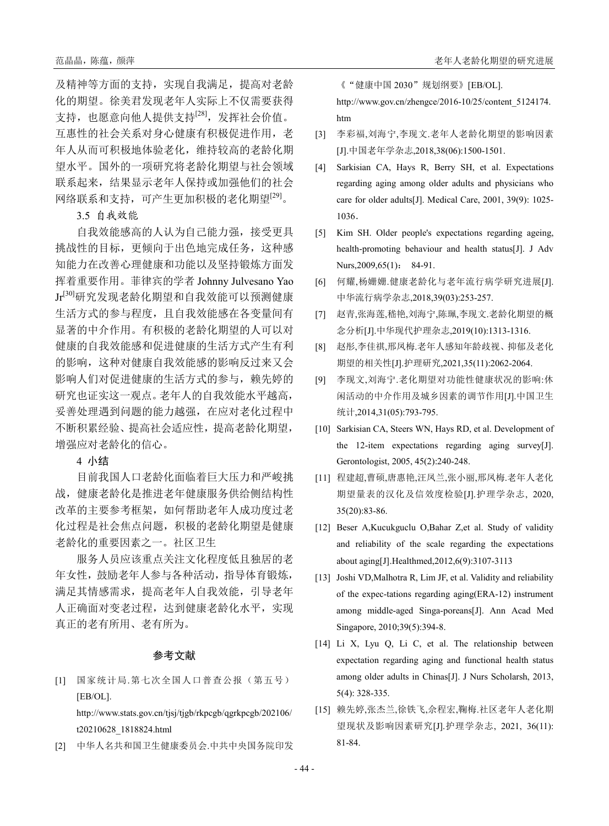及精神等方面的支持,实现自我满足,提高对老龄 化的期望。徐美君发现老年人实际上不仅需要获得 支持,也愿意向他人提供支持[28],发挥社会价值。 互惠性的社会关系对身心健康有积极促进作用,老 年人从而可积极地体验老化,维持较高的老龄化期 望水平。国外的一项研究将老龄化期望与社会领域 联系起来,结果显示老年人保持或加强他们的社会 网络联系和支持,可产生更加积极的老化期望[29]。

3.5 自我效能

自我效能感高的人认为自己能力强,接受更具 挑战性的目标,更倾向于出色地完成任务,这种感 知能力在改善心理健康和功能以及坚持锻炼方面发 挥着重要作用。菲律宾的学者 Johnny Julvesano Yao Jr[30]研究发现老龄化期望和自我效能可以预测健康 生活方式的参与程度,且自我效能感在各变量间有 显著的中介作用。有积极的老龄化期望的人可以对 健康的自我效能感和促进健康的生活方式产生有利 的影响,这种对健康自我效能感的影响反过来又会 影响人们对促进健康的生活方式的参与,赖先婷的 研究也证实这一观点。老年人的自我效能水平越高, 妥善处理遇到问题的能力越强,在应对老化过程中 不断积累经验、提高社会适应性,提高老龄化期望, 增强应对老龄化的信心。

4 小结

目前我国人口老龄化面临着巨大压力和严峻挑 战,健康老龄化是推进老年健康服务供给侧结构性 改革的主要参考框架,如何帮助老年人成功度过老 化过程是社会焦点问题,积极的老龄化期望是健康 老龄化的重要因素之一。社区卫生

服务人员应该重点关注文化程度低且独居的老 年女性,鼓励老年人参与各种活动,指导体育锻炼, 满足其情感需求,提高老年人自我效能,引导老年 人正确面对变老过程,达到健康老龄化水平,实现 真正的老有所用、老有所为。

#### 参考文献

[1] 国家统计局.第七次全国人口普查公报(第五号) [EB/OL].

http://www.stats.gov.cn/tjsj/tjgb/rkpcgb/qgrkpcgb/202106/ t20210628\_1818824.html

[2] 中华人名共和国卫生健康委员会.中共中央国务院印发

《"健康中国 2030"规划纲要》[EB/OL].

http://www.gov.cn/zhengce/2016-10/25/content\_5124174. htm

- [3] 李彩福,刘海宁,李现文.老年人老龄化期望的影响因素 [J].中国老年学杂志,2018,38(06):1500-1501.
- [4] Sarkisian CA, Hays R, Berry SH, et al. Expectations regarding aging among older adults and physicians who care for older adults[J]. Medical Care, 2001, 39(9): 1025- 1036.
- [5] Kim SH. Older people's expectations regarding ageing, health-promoting behaviour and health status[J]. J Adv Nurs, 2009, 65(1): 84-91.
- [6] 何耀,杨姗姗.健康老龄化与老年流行病学研究进展[J]. 中华流行病学杂志,2018,39(03):253-257.
- [7] 赵青,张海莲,嵇艳,刘海宁,陈珮,李现文.老龄化期望的概 念分析[J].中华现代护理杂志,2019(10):1313-1316.
- [8] 赵彤,李佳祺,邢凤梅.老年人感知年龄歧视、抑郁及老化 期望的相关性[J].护理研究,2021,35(11):2062-2064.
- [9] 李现文,刘海宁.老化期望对功能性健康状况的影响:休 闲活动的中介作用及城乡因素的调节作用[J].中国卫生 统计,2014,31(05):793-795.
- [10] Sarkisian CA, Steers WN, Hays RD, et al. Development of the 12-item expectations regarding aging survey[J]. Gerontologist, 2005, 45(2):240-248.
- [11] 程建超,曹硕,唐惠艳,汪凤兰,张小丽,邢凤梅.老年人老化 期望量表的汉化及信效度检验[J].护理学杂志, 2020, 35(20):83-86.
- [12] Beser A,Kucukguclu O,Bahar Z,et al. Study of validity and reliability of the scale regarding the expectations about aging[J].Healthmed,2012,6(9):3107-3113
- [13] Joshi VD, Malhotra R, Lim JF, et al. Validity and reliability of the expec-tations regarding aging(ERA-12) instrument among middle-aged Singa-poreans[J]. Ann Acad Med Singapore, 2010;39(5):394-8.
- [14] Li X, Lyu Q, Li C, et al. The relationship between expectation regarding aging and functional health status among older adults in Chinas[J]. J Nurs Scholarsh, 2013, 5(4): 328-335.
- [15] 赖先婷,张杰兰,徐铁飞,佘程宏,鞠梅.社区老年人老化期 望现状及影响因素研究[J].护理学杂志, 2021, 36(11): 81-84.